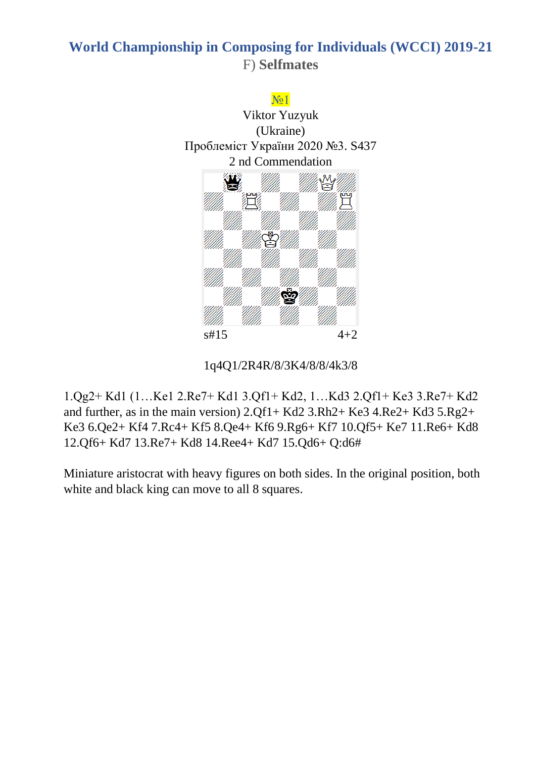## **World Championship in Composing for Individuals (WCCI) 2019-21** F) **Selfmates**



#### 1q4Q1/2R4R/8/3K4/8/8/4k3/8

1.Qg2+ Kd1 (1…Ke1 2.Re7+ Kd1 3.Qf1+ Kd2, 1…Kd3 2.Qf1+ Ke3 3.Re7+ Kd2 and further, as in the main version) 2.Qf1+ Kd2 3.Rh2+ Ke3 4.Re2+ Kd3 5.Rg2+ Ke3 6.Qe2+ Kf4 7.Rc4+ Kf5 8.Qe4+ Kf6 9.Rg6+ Kf7 10.Qf5+ Ke7 11.Re6+ Kd8 12.Qf6+ Kd7 13.Re7+ Kd8 14.Ree4+ Kd7 15.Qd6+ Q:d6#

Miniature aristocrat with heavy figures on both sides. In the original position, both white and black king can move to all 8 squares.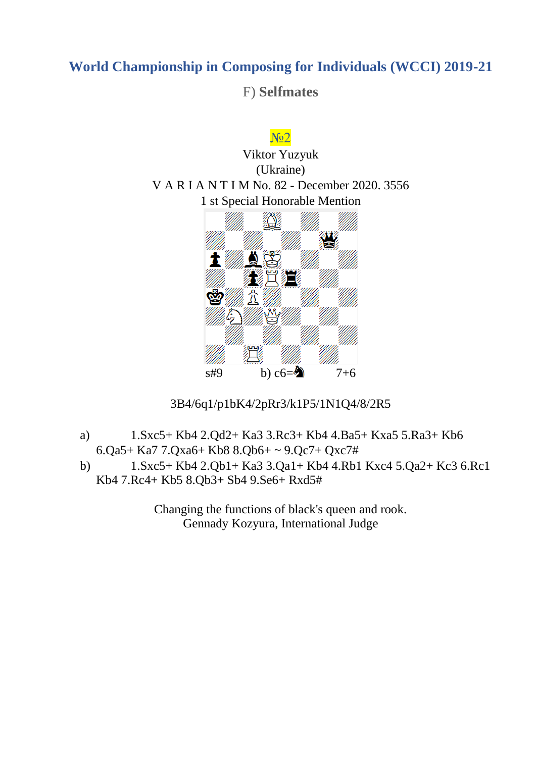F) **Selfmates**





3B4/6q1/p1bK4/2pRr3/k1P5/1N1Q4/8/2R5

- a) 1.Sxc5+ Kb4 2.Qd2+ Ka3 3.Rc3+ Kb4 4.Ba5+ Kxa5 5.Ra3+ Kb6 6.Qa5+ Ka7 7.Qxa6+ Kb8 8.Qb6+ ~ 9.Qc7+ Qxc7#
- b) 1.Sxc5+ Kb4 2.Qb1+ Ka3 3.Qa1+ Kb4 4.Rb1 Kxc4 5.Qa2+ Kc3 6.Rc1 Kb4 7.Rc4+ Kb5 8.Qb3+ Sb4 9.Se6+ Rxd5#

Changing the functions of black's queen and rook. Gennady Kozyura, International Judge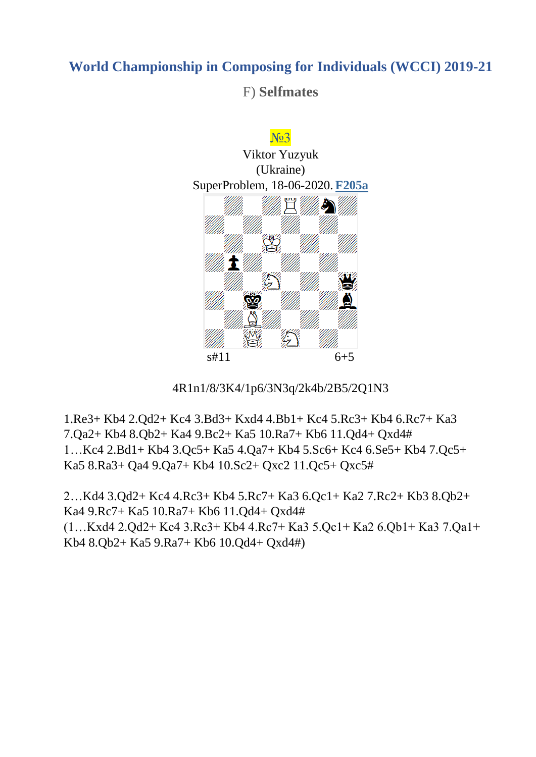### F) **Selfmates**





1.Re3+ Kb4 2.Qd2+ Kc4 3.Bd3+ Kxd4 4.Bb1+ Kc4 5.Rc3+ Kb4 6.Rc7+ Ka3 7.Qa2+ Kb4 8.Qb2+ Ka4 9.Bc2+ Ka5 10.Ra7+ Kb6 11.Qd4+ Qxd4# 1…Kc4 2.Bd1+ Kb4 3.Qc5+ Ka5 4.Qa7+ Kb4 5.Sc6+ Kc4 6.Se5+ Kb4 7.Qc5+ Ka5 8.Ra3+ Qa4 9.Qa7+ Kb4 10.Sc2+ Qxc2 11.Qc5+ Qxc5#

2…Kd4 3.Qd2+ Kc4 4.Rc3+ Kb4 5.Rc7+ Ka3 6.Qc1+ Ka2 7.Rc2+ Kb3 8.Qb2+ Ka4 9.Rc7+ Ka5 10.Ra7+ Kb6 11.Qd4+ Qxd4# (1…Kxd4 2.Qd2+ Kc4 3.Rc3+ Kb4 4.Rc7+ Ka3 5.Qc1+ Ka2 6.Qb1+ Ka3 7.Qa1+ Kb4 8.Qb2+ Ka5 9.Ra7+ Kb6 10.Qd4+ Qxd4#)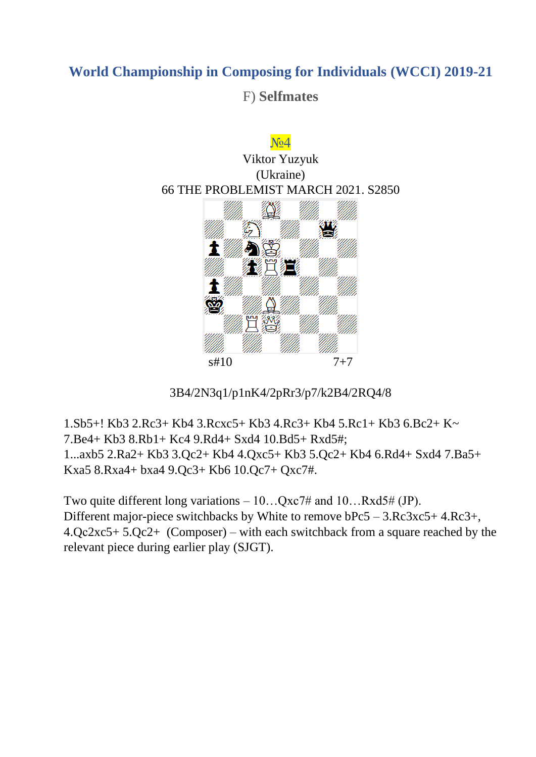F) **Selfmates**



3B4/2N3q1/p1nK4/2pRr3/p7/k2B4/2RQ4/8

1.Sb5+! Kb3 2.Rc3+ Kb4 3.Rcxc5+ Kb3 4.Rc3+ Kb4 5.Rc1+ Kb3 6.Bc2+ K~ 7.Be4+ Kb3 8.Rb1+ Kc4 9.Rd4+ Sxd4 10.Bd5+ Rxd5#; 1...axb5 2.Ra2+ Kb3 3.Qc2+ Kb4 4.Qxc5+ Kb3 5.Qc2+ Kb4 6.Rd4+ Sxd4 7.Ba5+ Kxa5 8.Rxa4+ bxa4 9.Qc3+ Kb6 10.Qc7+ Qxc7#.

Two quite different long variations  $-10...Qxc7\#$  and  $10...Rxd5\# (JP)$ . Different major-piece switchbacks by White to remove bPc5 – 3.Rc3xc5+ 4.Rc3+, 4.Qс2xc5+ 5.Qc2+ (Composer) – with each switchback from a square reached by the relevant piece during earlier play (SJGT).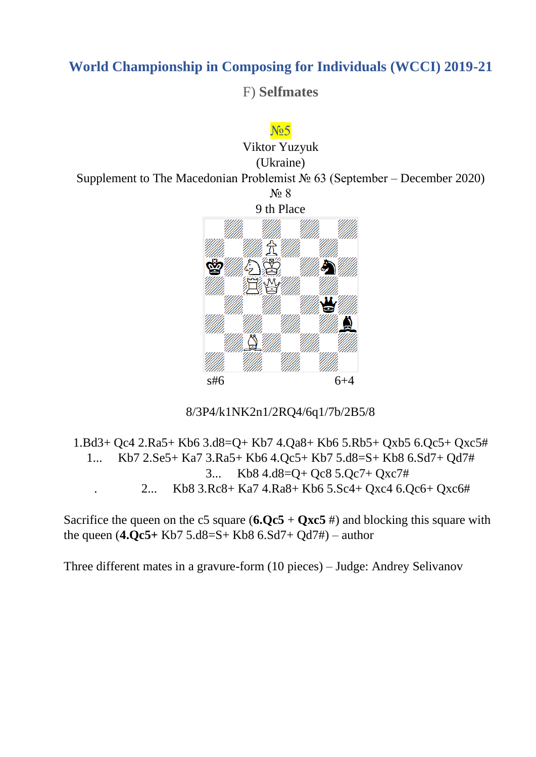F) **Selfmates**



8/3P4/k1NK2n1/2RQ4/6q1/7b/2B5/8

1.Bd3+ Qc4 2.Ra5+ Kb6 3.d8=Q+ Kb7 4.Qa8+ Kb6 5.Rb5+ Qxb5 6.Qc5+ Qxc5# 1... Kb7 2.Se5+ Ka7 3.Ra5+ Kb6 4.Qc5+ Kb7 5.d8=S+ Kb8 6.Sd7+ Qd7# 3... Kb8 4.d8=Q+ Qc8 5.Qc7+ Qxc7# . 2... Kb8 3.Rc8+ Ka7 4.Ra8+ Kb6 5.Sc4+ Qxc4 6.Qc6+ Qxc6#

Sacrifice the queen on the c5 square  $(6.0c5 + 0xc5)$  #) and blocking this square with the queen (**4.Qc5+** Kb7 5.d8=S+ Kb8 6.Sd7+ Qd7#) – author

Three different mates in a gravure-form (10 pieces) – Judge: Andrey Selivanov